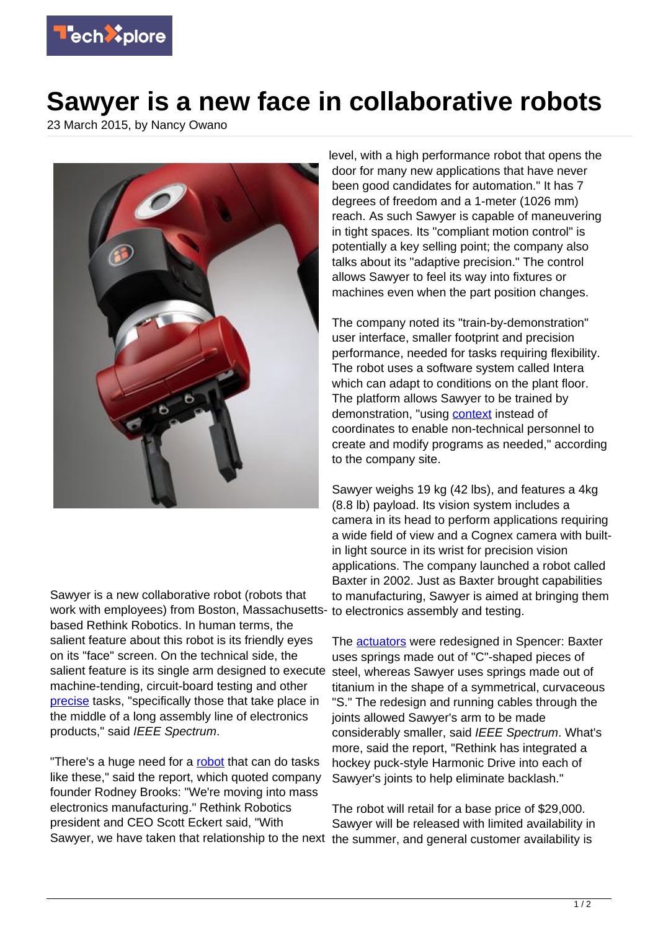

## **Sawyer is a new face in collaborative robots**

23 March 2015, by Nancy Owano



Sawyer is a new collaborative robot (robots that work with employees) from Boston, Massachusettsbased Rethink Robotics. In human terms, the salient feature about this robot is its friendly eyes on its "face" screen. On the technical side, the salient feature is its single arm designed to execute machine-tending, circuit-board testing and other [precise](http://spectrum.ieee.org/automaton/robotics/industrial-robots/sawyer-rethink-robotics-new-robot) tasks, "specifically those that take place in the middle of a long assembly line of electronics products," said IEEE Spectrum.

"There's a huge need for a [robot](https://techxplore.com/tags/robot/) that can do tasks like these," said the report, which quoted company founder Rodney Brooks: "We're moving into mass electronics manufacturing." Rethink Robotics president and CEO Scott Eckert said, "With Sawyer, we have taken that relationship to the next the summer, and general customer availability is

level, with a high performance robot that opens the door for many new applications that have never been good candidates for automation." It has 7 degrees of freedom and a 1-meter (1026 mm) reach. As such Sawyer is capable of maneuvering in tight spaces. Its "compliant motion control" is potentially a key selling point; the company also talks about its "adaptive precision." The control allows Sawyer to feel its way into fixtures or machines even when the part position changes.

The company noted its "train-by-demonstration" user interface, smaller footprint and precision performance, needed for tasks requiring flexibility. The robot uses a software system called Intera which can adapt to conditions on the plant floor. The platform allows Sawyer to be trained by demonstration, "using [context](http://www.rethinkrobotics.com/intera/) instead of coordinates to enable non-technical personnel to create and modify programs as needed," according to the company site.

Sawyer weighs 19 kg (42 lbs), and features a 4kg (8.8 lb) payload. Its vision system includes a camera in its head to perform applications requiring a wide field of view and a Cognex camera with builtin light source in its wrist for precision vision applications. The company launched a robot called Baxter in 2002. Just as Baxter brought capabilities to manufacturing, Sawyer is aimed at bringing them to electronics assembly and testing.

The **actuators** were redesigned in Spencer: Baxter uses springs made out of "C"-shaped pieces of steel, whereas Sawyer uses springs made out of titanium in the shape of a symmetrical, curvaceous "S." The redesign and running cables through the joints allowed Sawyer's arm to be made considerably smaller, said IEEE Spectrum. What's more, said the report, "Rethink has integrated a hockey puck-style Harmonic Drive into each of Sawyer's joints to help eliminate backlash."

The robot will retail for a base price of \$29,000. Sawyer will be released with limited availability in